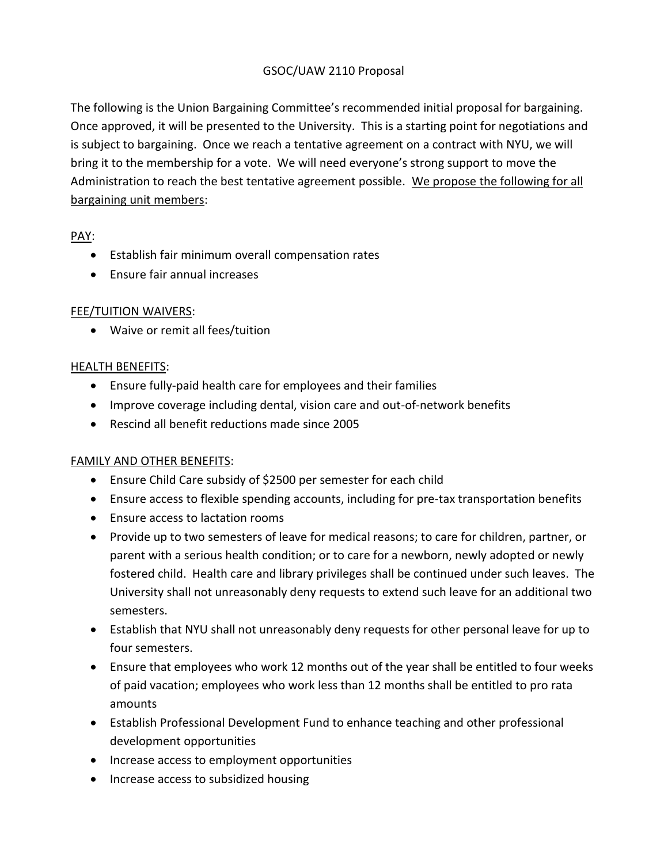### GSOC/UAW 2110 Proposal

The following is the Union Bargaining Committee's recommended initial proposal for bargaining. Once approved, it will be presented to the University. This is a starting point for negotiations and is subject to bargaining. Once we reach a tentative agreement on a contract with NYU, we will bring it to the membership for a vote. We will need everyone's strong support to move the Administration to reach the best tentative agreement possible. We propose the following for all bargaining unit members:

PAY:

- Establish fair minimum overall compensation rates
- Ensure fair annual increases

## FEE/TUITION WAIVERS:

Waive or remit all fees/tuition

### HEALTH BENEFITS:

- Ensure fully-paid health care for employees and their families
- Improve coverage including dental, vision care and out-of-network benefits
- Rescind all benefit reductions made since 2005

## FAMILY AND OTHER BENEFITS:

- Ensure Child Care subsidy of \$2500 per semester for each child
- Ensure access to flexible spending accounts, including for pre-tax transportation benefits
- Ensure access to lactation rooms
- Provide up to two semesters of leave for medical reasons; to care for children, partner, or parent with a serious health condition; or to care for a newborn, newly adopted or newly fostered child. Health care and library privileges shall be continued under such leaves. The University shall not unreasonably deny requests to extend such leave for an additional two semesters.
- Establish that NYU shall not unreasonably deny requests for other personal leave for up to four semesters.
- Ensure that employees who work 12 months out of the year shall be entitled to four weeks of paid vacation; employees who work less than 12 months shall be entitled to pro rata amounts
- Establish Professional Development Fund to enhance teaching and other professional development opportunities
- Increase access to employment opportunities
- Increase access to subsidized housing